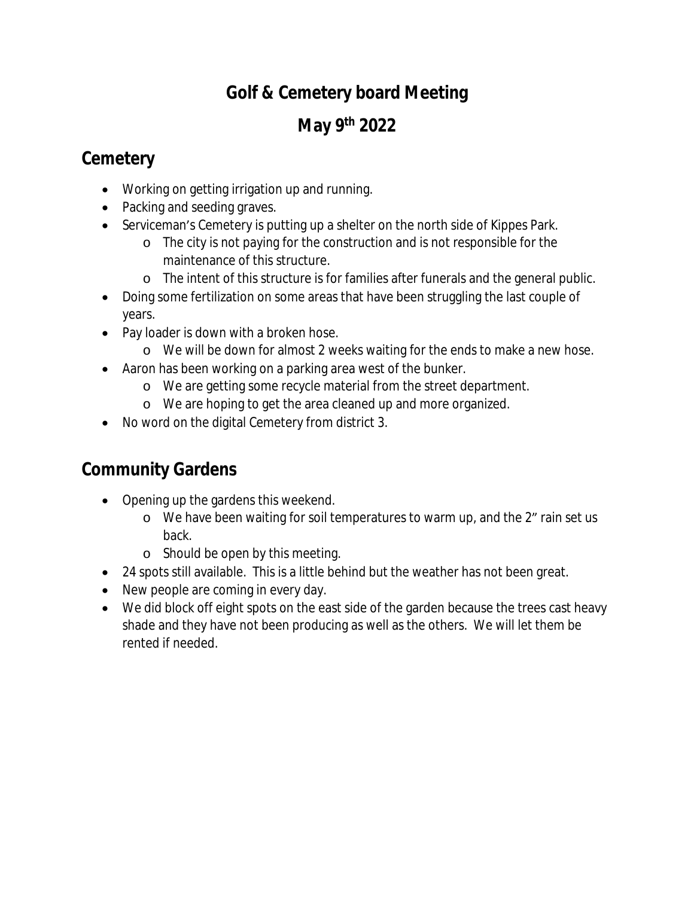## **Golf & Cemetery board Meeting**

# **May 9th 2022**

### **Cemetery**

- Working on getting irrigation up and running.
- Packing and seeding graves.
- Serviceman's Cemetery is putting up a shelter on the north side of Kippes Park.
	- o The city is not paying for the construction and is not responsible for the maintenance of this structure.
	- o The intent of this structure is for families after funerals and the general public.
- Doing some fertilization on some areas that have been struggling the last couple of years.
- Pay loader is down with a broken hose.
	- o We will be down for almost 2 weeks waiting for the ends to make a new hose.
- Aaron has been working on a parking area west of the bunker.
	- o We are getting some recycle material from the street department.
	- o We are hoping to get the area cleaned up and more organized.
- No word on the digital Cemetery from district 3.

### **Community Gardens**

- Opening up the gardens this weekend.
	- o We have been waiting for soil temperatures to warm up, and the 2" rain set us back.
	- o Should be open by this meeting.
- 24 spots still available. This is a little behind but the weather has not been great.
- New people are coming in every day.
- We did block off eight spots on the east side of the garden because the trees cast heavy shade and they have not been producing as well as the others. We will let them be rented if needed.